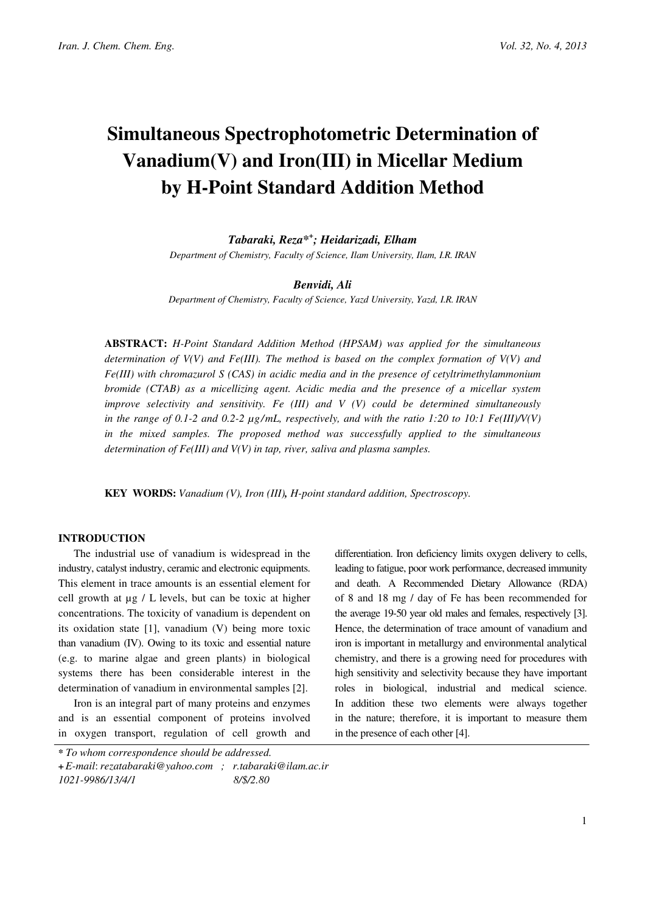# Simultaneous Spectrophotometric Determination of Vanadium(V) and Iron(III) in Micellar Medium by H-Point Standard Addition Method

Tabaraki, Reza\*<sup>+</sup> ; Heidarizadi, Elham

Department of Chemistry, Faculty of Science, Ilam University, Ilam, I.R. IRAN

#### Benvidi, Ali

Department of Chemistry, Faculty of Science, Yazd University, Yazd, I.R. IRAN

ABSTRACT: H-Point Standard Addition Method (HPSAM) was applied for the simultaneous determination of  $V(V)$  and Fe(III). The method is based on the complex formation of  $V(V)$  and  $Fe(HI)$  with chromazurol S (CAS) in acidic media and in the presence of cetyltrimethylammonium bromide (CTAB) as a micellizing agent. Acidic media and the presence of a micellar system improve selectivity and sensitivity. Fe  $(III)$  and V  $(V)$  could be determined simultaneously in the range of 0.1-2 and 0.2-2  $\mu$ g/mL, respectively, and with the ratio 1:20 to 10:1 Fe(III)/V(V) in the mixed samples. The proposed method was successfully applied to the simultaneous determination of  $Fe(III)$  and  $V(V)$  in tap, river, saliva and plasma samples.

KEY WORDS: Vanadium (V), Iron (III), H-point standard addition, Spectroscopy.

# INTRODUCTION

The industrial use of vanadium is widespread in the industry, catalyst industry, ceramic and electronic equipments. This element in trace amounts is an essential element for cell growth at µg / L levels, but can be toxic at higher concentrations. The toxicity of vanadium is dependent on its oxidation state [1], vanadium (V) being more toxic than vanadium (IV). Owing to its toxic and essential nature (e.g. to marine algae and green plants) in biological systems there has been considerable interest in the determination of vanadium in environmental samples [2].

Iron is an integral part of many proteins and enzymes and is an essential component of proteins involved in oxygen transport, regulation of cell growth and differentiation. Iron deficiency limits oxygen delivery to cells, leading to fatigue, poor work performance, decreased immunity and death. A Recommended Dietary Allowance (RDA) of 8 and 18 mg / day of Fe has been recommended for the average 19-50 year old males and females, respectively [3]. Hence, the determination of trace amount of vanadium and iron is important in metallurgy and environmental analytical chemistry, and there is a growing need for procedures with high sensitivity and selectivity because they have important roles in biological, industrial and medical science. In addition these two elements were always together in the nature; therefore, it is important to measure them in the presence of each other [4].

<sup>\*</sup> To whom correspondence should be addressed.

<sup>+</sup>E-mail: rezatabaraki@yahoo.com ; r.tabaraki@ilam.ac.ir 1021-9986/13/4/1 8/\$/2.80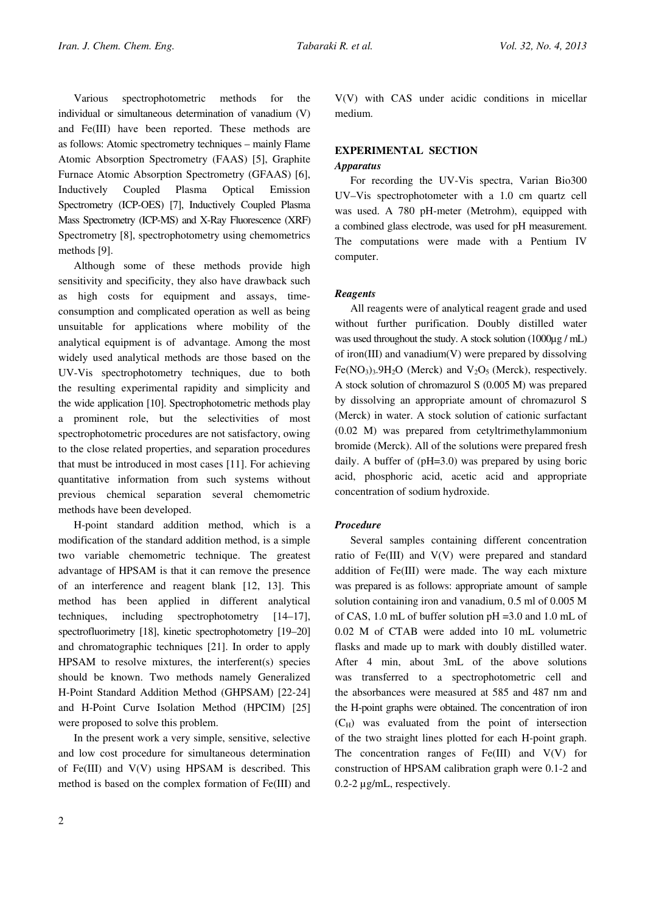Various spectrophotometric methods for the individual or simultaneous determination of vanadium (V) and Fe(III) have been reported. These methods are as follows: Atomic spectrometry techniques – mainly Flame Atomic Absorption Spectrometry (FAAS) [5], Graphite Furnace Atomic Absorption Spectrometry (GFAAS) [6], Inductively Coupled Plasma Optical Emission Spectrometry (ICP-OES) [7], Inductively Coupled Plasma Mass Spectrometry (ICP-MS) and X-Ray Fluorescence (XRF) Spectrometry [8], spectrophotometry using chemometrics methods [9].

Although some of these methods provide high sensitivity and specificity, they also have drawback such as high costs for equipment and assays, timeconsumption and complicated operation as well as being unsuitable for applications where mobility of the analytical equipment is of advantage. Among the most widely used analytical methods are those based on the UV-Vis spectrophotometry techniques, due to both the resulting experimental rapidity and simplicity and the wide application [10]. Spectrophotometric methods play a prominent role, but the selectivities of most spectrophotometric procedures are not satisfactory, owing to the close related properties, and separation procedures that must be introduced in most cases [11]. For achieving quantitative information from such systems without previous chemical separation several chemometric methods have been developed.

H-point standard addition method, which is a modification of the standard addition method, is a simple two variable chemometric technique. The greatest advantage of HPSAM is that it can remove the presence of an interference and reagent blank [12, 13]. This method has been applied in different analytical techniques, including spectrophotometry [14–17], spectrofluorimetry [18], kinetic spectrophotometry [19–20] and chromatographic techniques [21]. In order to apply HPSAM to resolve mixtures, the interferent(s) species should be known. Two methods namely Generalized H-Point Standard Addition Method (GHPSAM) [22-24] and H-Point Curve Isolation Method (HPCIM) [25] were proposed to solve this problem.

In the present work a very simple, sensitive, selective and low cost procedure for simultaneous determination of Fe(III) and V(V) using HPSAM is described. This method is based on the complex formation of Fe(III) and V(V) with CAS under acidic conditions in micellar medium.

# EXPERIMENTAL SECTION

# Apparatus

For recording the UV-Vis spectra, Varian Bio300 UV–Vis spectrophotometer with a 1.0 cm quartz cell was used. A 780 pH-meter (Metrohm), equipped with a combined glass electrode, was used for pH measurement. The computations were made with a Pentium IV computer.

### Reagents

All reagents were of analytical reagent grade and used without further purification. Doubly distilled water was used throughout the study. A stock solution (1000µg / mL) of iron(III) and vanadium(V) were prepared by dissolving  $Fe(NO<sub>3</sub>)<sub>3</sub>·9H<sub>2</sub>O$  (Merck) and  $V<sub>2</sub>O<sub>5</sub>$  (Merck), respectively. A stock solution of chromazurol S (0.005 M) was prepared by dissolving an appropriate amount of chromazurol S (Merck) in water. A stock solution of cationic surfactant (0.02 M) was prepared from cetyltrimethylammonium bromide (Merck). All of the solutions were prepared fresh daily. A buffer of (pH=3.0) was prepared by using boric acid, phosphoric acid, acetic acid and appropriate concentration of sodium hydroxide.

# Procedure

Several samples containing different concentration ratio of Fe(III) and V(V) were prepared and standard addition of Fe(III) were made. The way each mixture was prepared is as follows: appropriate amount of sample solution containing iron and vanadium, 0.5 ml of 0.005 M of CAS, 1.0 mL of buffer solution pH =3.0 and 1.0 mL of 0.02 M of CTAB were added into 10 mL volumetric flasks and made up to mark with doubly distilled water. After 4 min, about 3mL of the above solutions was transferred to a spectrophotometric cell and the absorbances were measured at 585 and 487 nm and the H-point graphs were obtained. The concentration of iron  $(C_H)$  was evaluated from the point of intersection of the two straight lines plotted for each H-point graph. The concentration ranges of  $Fe(III)$  and  $V(V)$  for construction of HPSAM calibration graph were 0.1-2 and 0.2-2 µg/mL, respectively.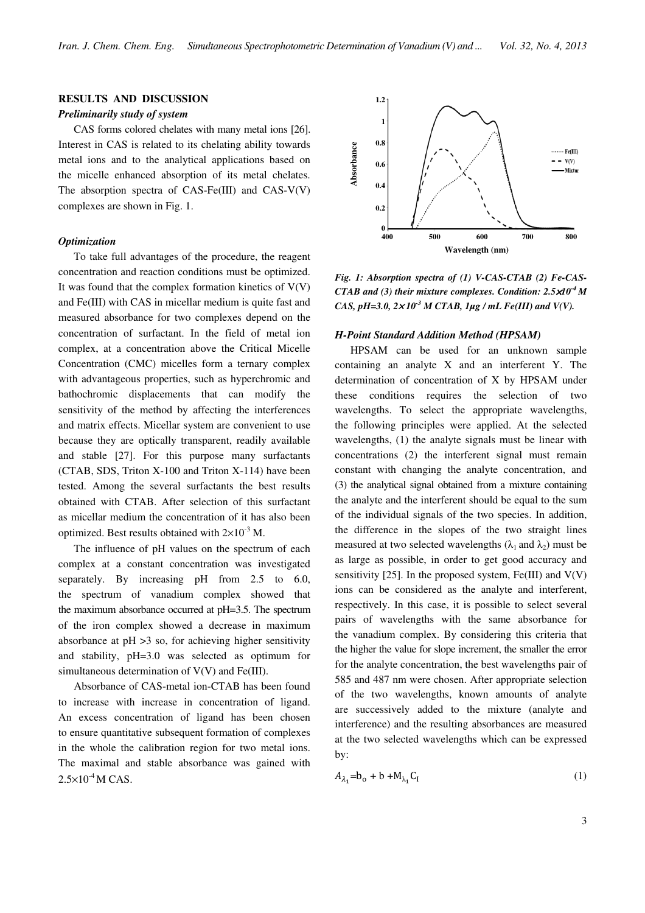# RESULTS AND DISCUSSION

#### Preliminarily study of system

CAS forms colored chelates with many metal ions [26]. Interest in CAS is related to its chelating ability towards metal ions and to the analytical applications based on the micelle enhanced absorption of its metal chelates. The absorption spectra of CAS-Fe(III) and CAS-V(V) complexes are shown in Fig. 1.

#### **Optimization**

To take full advantages of the procedure, the reagent concentration and reaction conditions must be optimized. It was found that the complex formation kinetics of  $V(V)$ and Fe(III) with CAS in micellar medium is quite fast and measured absorbance for two complexes depend on the concentration of surfactant. In the field of metal ion complex, at a concentration above the Critical Micelle Concentration (CMC) micelles form a ternary complex with advantageous properties, such as hyperchromic and bathochromic displacements that can modify the sensitivity of the method by affecting the interferences and matrix effects. Micellar system are convenient to use because they are optically transparent, readily available and stable [27]. For this purpose many surfactants (CTAB, SDS, Triton X-100 and Triton X-114) have been tested. Among the several surfactants the best results obtained with CTAB. After selection of this surfactant as micellar medium the concentration of it has also been optimized. Best results obtained with  $2\times10^{-3}$  M.

The influence of pH values on the spectrum of each complex at a constant concentration was investigated separately. By increasing pH from 2.5 to 6.0, the spectrum of vanadium complex showed that the maximum absorbance occurred at pH=3.5. The spectrum of the iron complex showed a decrease in maximum absorbance at pH >3 so, for achieving higher sensitivity and stability, pH=3.0 was selected as optimum for simultaneous determination of V(V) and Fe(III).

Absorbance of CAS-metal ion-CTAB has been found to increase with increase in concentration of ligand. An excess concentration of ligand has been chosen to ensure quantitative subsequent formation of complexes in the whole the calibration region for two metal ions. The maximal and stable absorbance was gained with  $2.5\times10^{-4}$  M CAS.



Fig. 1: Absorption spectra of (1) V-CAS-CTAB (2) Fe-CAS-CTAB and (3) their mixture complexes. Condition:  $2.5 \times 10^{-4}$  M CAS, pH=3.0,  $2 \times 10^{-3}$  M CTAB, 1µg / mL Fe(III) and V(V).

#### H-Point Standard Addition Method (HPSAM)

HPSAM can be used for an unknown sample containing an analyte X and an interferent Y. The determination of concentration of X by HPSAM under these conditions requires the selection of two wavelengths. To select the appropriate wavelengths, the following principles were applied. At the selected wavelengths, (1) the analyte signals must be linear with concentrations (2) the interferent signal must remain constant with changing the analyte concentration, and (3) the analytical signal obtained from a mixture containing the analyte and the interferent should be equal to the sum of the individual signals of the two species. In addition, the difference in the slopes of the two straight lines measured at two selected wavelengths  $(\lambda_1$  and  $\lambda_2)$  must be as large as possible, in order to get good accuracy and sensitivity [25]. In the proposed system,  $Fe(III)$  and  $V(V)$ ions can be considered as the analyte and interferent, respectively. In this case, it is possible to select several pairs of wavelengths with the same absorbance for the vanadium complex. By considering this criteria that the higher the value for slope increment, the smaller the error for the analyte concentration, the best wavelengths pair of 585 and 487 nm were chosen. After appropriate selection of the two wavelengths, known amounts of analyte are successively added to the mixture (analyte and interference) and the resulting absorbances are measured at the two selected wavelengths which can be expressed by:

$$
A_{\lambda_1} = b_o + b + M_{\lambda_1} C_I \tag{1}
$$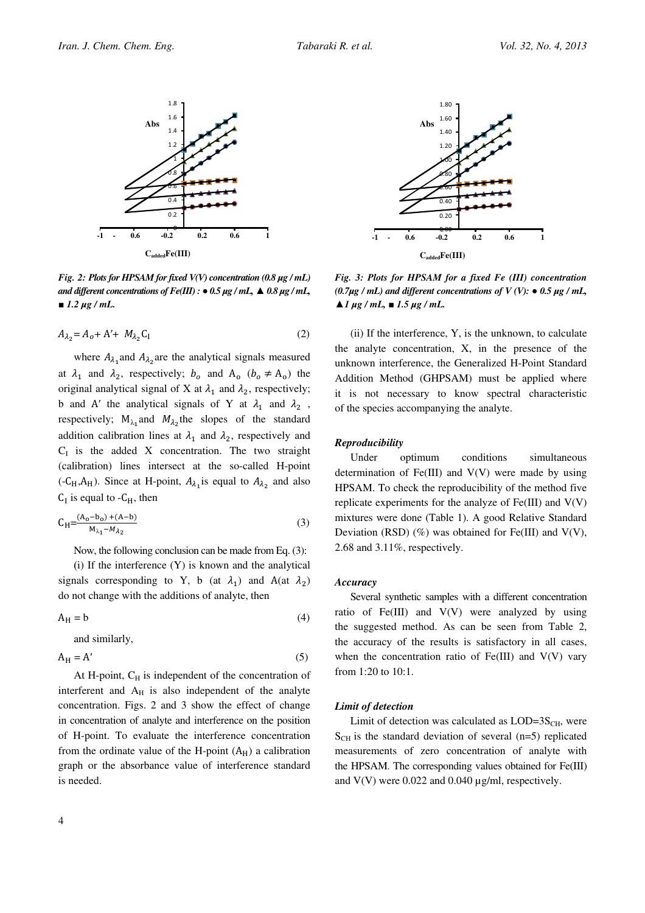

Fig. 2: Plots for HPSAM for fixed  $V(V)$  concentration (0.8  $\mu$ g / mL) and different concentrations of  $Fe(III)$  :  $\bullet$  0.5  $\mu$ g / mL,  $\blacktriangle$  0.8  $\mu$ g / mL,  $1.2 \mu g$  / mL.

$$
A_{\lambda_2} = A_o + A' + M_{\lambda_2} C_I
$$
 (2)

where  $A_{\lambda_1}$  and  $A_{\lambda_2}$  are the analytical signals measured at  $\lambda_1$  and  $\lambda_2$ , respectively;  $b_o$  and  $A_o$  ( $b_o \neq A_o$ ) the original analytical signal of X at  $\lambda_1$  and  $\lambda_2$ , respectively; b and A' the analytical signals of Y at  $\lambda_1$  and  $\lambda_2$ , respectively;  $M_{\lambda_1}$  and  $M_{\lambda_2}$  the slopes of the standard addition calibration lines at  $\lambda_1$  and  $\lambda_2$ , respectively and  $C<sub>I</sub>$  is the added X concentration. The two straight (calibration) lines intersect at the so-called H-point  $(-C_H, A_H)$ . Since at H-point,  $A_{\lambda_1}$  is equal to  $A_{\lambda_2}$  and also  $C_I$  is equal to  $-C_H$ , then

$$
C_{H} = \frac{(A_0 - b_0) + (A - b)}{M_{\lambda_1} - M_{\lambda_2}}\tag{3}
$$

Now, the following conclusion can be made from Eq. (3):

 $(i)$  If the interference  $(Y)$  is known and the analytical signals corresponding to Y, b (at  $\lambda_1$ ) and A(at  $\lambda_2$ ) do not change with the additions of analyte, then

$$
A_H = b \tag{4}
$$

and similarly,

$$
A_H = A'
$$
 (5)

At H-point,  $C_H$  is independent of the concentration of interferent and  $A_H$  is also independent of the analyte concentration. Figs. 2 and 3 show the effect of change in concentration of analyte and interference on the position of H-point. To evaluate the interference concentration from the ordinate value of the H-point  $(A_H)$  a calibration graph or the absorbance value of interference standard is needed.



Fig. 3: Plots for HPSAM for a fixed Fe (III) concentration  $(0.7\mu$ g / mL) and different concentrations of V (V):  $\bullet$  0.5  $\mu$ g / mL,  $\triangle$  1 µg / mL,  $\blacksquare$  1.5 µg / mL.

(ii) If the interference, Y, is the unknown, to calculate the analyte concentration, X, in the presence of the unknown interference, the Generalized H-Point Standard Addition Method (GHPSAM) must be applied where it is not necessary to know spectral characteristic of the species accompanying the analyte.

#### **Reproducibility**

Under optimum conditions simultaneous determination of  $Fe(III)$  and  $V(V)$  were made by using HPSAM. To check the reproducibility of the method five replicate experiments for the analyze of  $Fe(III)$  and  $V(V)$ mixtures were done (Table 1). A good Relative Standard Deviation (RSD)  $(\%)$  was obtained for Fe(III) and V(V), 2.68 and 3.11%, respectively.

#### Accuracy

Several synthetic samples with a different concentration ratio of Fe $(III)$  and  $V(V)$  were analyzed by using the suggested method. As can be seen from Table 2, the accuracy of the results is satisfactory in all cases, when the concentration ratio of  $Fe(III)$  and  $V(V)$  vary from 1:20 to 10:1.

#### Limit of detection

Limit of detection was calculated as  $LOD=3S<sub>CH</sub>$ , were  $S<sub>CH</sub>$  is the standard deviation of several (n=5) replicated measurements of zero concentration of analyte with the HPSAM. The corresponding values obtained for Fe(III) and  $V(V)$  were 0.022 and 0.040  $\mu$ g/ml, respectively.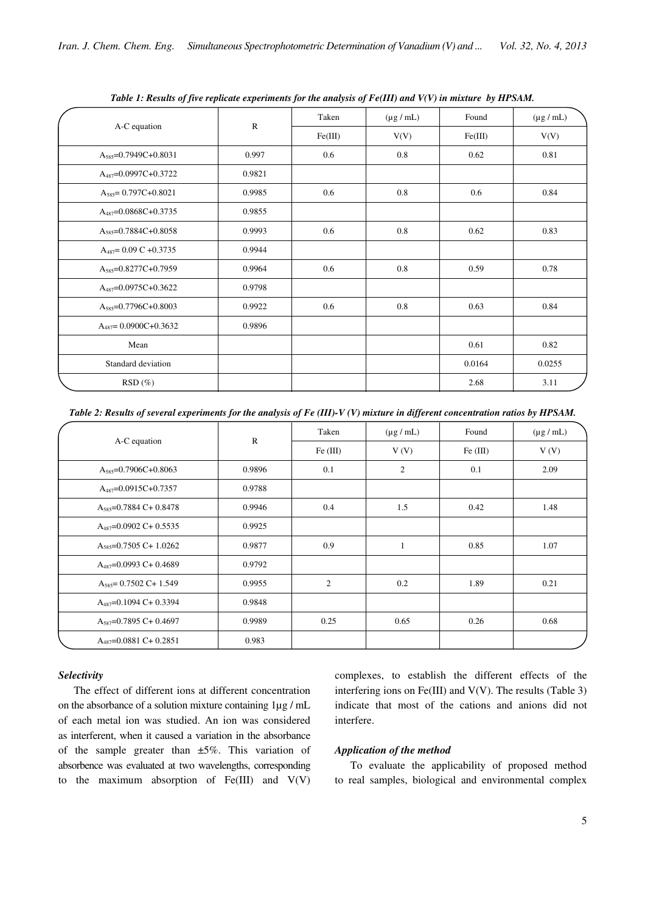| Twee It Resurs of fire replicate experiments for the unitysis of 1 c(111) and $\tau$ (+) in maxime by 111 strikt |           |                                  |      |                |        |
|------------------------------------------------------------------------------------------------------------------|-----------|----------------------------------|------|----------------|--------|
| A-C equation                                                                                                     |           | Taken<br>$(\mu g / mL)$<br>Found |      | $(\mu g / mL)$ |        |
|                                                                                                                  | ${\bf R}$ | Fe(III)                          | V(V) | Fe(III)        | V(V)   |
| $A_{585} = 0.7949C + 0.8031$                                                                                     | 0.997     | 0.6                              | 0.8  | 0.62           | 0.81   |
| $A_{487} = 0.0997C + 0.3722$                                                                                     | 0.9821    |                                  |      |                |        |
| $A_{585} = 0.797C + 0.8021$                                                                                      | 0.9985    | 0.6                              | 0.8  | 0.6            | 0.84   |
| $A_{487} = 0.0868C + 0.3735$                                                                                     | 0.9855    |                                  |      |                |        |
| $A_{585} = 0.7884C + 0.8058$                                                                                     | 0.9993    | 0.6                              | 0.8  | 0.62           | 0.83   |
| $A_{487} = 0.09 C + 0.3735$                                                                                      | 0.9944    |                                  |      |                |        |
| $A_{585} = 0.8277C + 0.7959$                                                                                     | 0.9964    | 0.6                              | 0.8  | 0.59           | 0.78   |
| $A_{487} = 0.0975C + 0.3622$                                                                                     | 0.9798    |                                  |      |                |        |
| $A_{585} = 0.7796C + 0.8003$                                                                                     | 0.9922    | 0.6                              | 0.8  | 0.63           | 0.84   |
| $A_{487} = 0.0900C + 0.3632$                                                                                     | 0.9896    |                                  |      |                |        |
| Mean                                                                                                             |           |                                  |      | 0.61           | 0.82   |
| Standard deviation                                                                                               |           |                                  |      | 0.0164         | 0.0255 |
| $RSD(\%)$                                                                                                        |           |                                  |      | 2.68           | 3.11   |

Table 1: Results of five replicate experiments for the analysis of Fe(III) and V(V) in mixture by HPSAM.

Table 2: Results of several experiments for the analysis of Fe (III)-V (V) mixture in different concentration ratios by HPSAM.

| A-C equation                  |              | Taken          | $(\mu g / mL)$ | Found    | $(\mu g / mL)$ |
|-------------------------------|--------------|----------------|----------------|----------|----------------|
|                               | $\mathbb{R}$ | Fe (III)       | V(V)           | Fe (III) | V(V)           |
| $A_{585}=0.7906C+0.8063$      | 0.9896       | 0.1            | $\mathfrak{2}$ | 0.1      | 2.09           |
| $A_{487} = 0.0915C + 0.7357$  | 0.9788       |                |                |          |                |
| $A_{585}=0.7884 C+0.8478$     | 0.9946       | 0.4            | 1.5            | 0.42     | 1.48           |
| $A_{487}$ =0.0902 C+ 0.5535   | 0.9925       |                |                |          |                |
| $A_{585} = 0.7505 C + 1.0262$ | 0.9877       | 0.9            |                | 0.85     | 1.07           |
| $A_{487}$ =0.0993 C+ 0.4689   | 0.9792       |                |                |          |                |
| $A_{585} = 0.7502$ C+ 1.549   | 0.9955       | $\overline{c}$ | 0.2            | 1.89     | 0.21           |
| $A_{487}$ =0.1094 C+ 0.3394   | 0.9848       |                |                |          |                |
| $A_{587}$ =0.7895 C+0.4697    | 0.9989       | 0.25           | 0.65           | 0.26     | 0.68           |
| $A_{487} = 0.0881 C + 0.2851$ | 0.983        |                |                |          |                |

#### Selectivity

The effect of different ions at different concentration on the absorbance of a solution mixture containing 1µg / mL of each metal ion was studied. An ion was considered as interferent, when it caused a variation in the absorbance of the sample greater than  $\pm 5\%$ . This variation of absorbence was evaluated at two wavelengths, corresponding to the maximum absorption of  $Fe(III)$  and  $V(V)$ 

complexes, to establish the different effects of the interfering ions on Fe(III) and  $V(V)$ . The results (Table 3) indicate that most of the cations and anions did not interfere.

#### Application of the method

To evaluate the applicability of proposed method to real samples, biological and environmental complex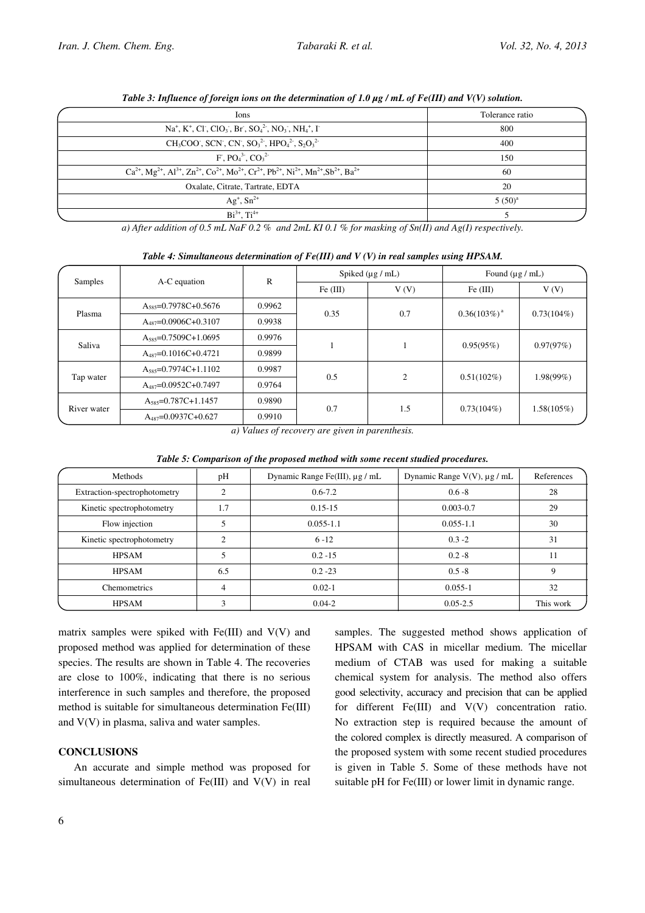| Ions                                                                                                                                          | Tolerance ratio |
|-----------------------------------------------------------------------------------------------------------------------------------------------|-----------------|
| $Na+, K+, Cl-, ClO3, Br, SO42, NO3, NH4+, I-$                                                                                                 | 800             |
| $CH_3COO$ , SCN, CN, $SO_3^2$ , $HPO_4^2$ , $S_2O_3^2$                                                                                        | 400             |
| $F. PO43. CO32$                                                                                                                               | 150             |
| $Ca^{2+}$ , $Mg^{2+}$ , $Al^{3+}$ , $Zn^{2+}$ , $Co^{2+}$ , $Mo^{2+}$ , $Cr^{2+}$ , $Pb^{2+}$ , $Ni^{2+}$ , $Mn^{2+}$ , $Sb^{2+}$ , $Ba^{2+}$ | 60              |
| Oxalate, Citrate, Tartrate, EDTA                                                                                                              | 20              |
| $Ag^+$ , $Sn^{2+}$                                                                                                                            | $5(50)^{a}$     |
| $Bi^{3+}$ , $Ti^{4+}$                                                                                                                         |                 |

Table 3: Influence of foreign ions on the determination of 1.0  $\mu$ g / mL of Fe(III) and V(V) solution.

a) After addition of 0.5 mL NaF 0.2 % and 2mL KI 0.1 % for masking of Sn(II) and Ag(I) respectively.

| Samples     |                                   | $\mathbb{R}$ | Spiked $(\mu g / mL)$ |                | Found $(\mu g / mL)$      |               |
|-------------|-----------------------------------|--------------|-----------------------|----------------|---------------------------|---------------|
|             | A-C equation                      |              | Fe (III)              | V(V)           | Fe (III)                  | V(V)          |
| Plasma      | $A_{585} = 0.7978C + 0.5676$      | 0.9962       | 0.35                  | 0.7            | $0.36(103%)$ <sup>a</sup> | $0.73(104\%)$ |
|             | $A_{487}$ =0.0906C+0.3107         | 0.9938       |                       |                |                           |               |
| Saliva      | $A_{585} = 0.7509C + 1.0695$      | 0.9976       |                       |                | 0.95(95%)                 | 0.97(97%)     |
|             | $A_{487} = 0.1016C + 0.4721$      | 0.9899       |                       |                |                           |               |
| Tap water   | $A_{585}=0.7974C+1.1102$          | 0.9987       | 0.5                   | $\overline{c}$ | $0.51(102\%)$             | $1.98(99\%)$  |
|             | $A_{487} = 0.0952C + 0.7497$      | 0.9764       |                       |                |                           |               |
| River water | $A$ <sub>585</sub> =0.787C+1.1457 | 0.9890       | 0.7                   | 1.5            | $0.73(104\%)$             | 1.58(105%)    |
|             | $A_{487} = 0.0937C + 0.627$       | 0.9910       |                       |                |                           |               |

Table 4: Simultaneous determination of  $Fe(III)$  and V (V) in real samples using HPSAM.

a) Values of recovery are given in parenthesis.

| Table 5: Comparison of the proposed method with some recent studied procedures. |  |  |
|---------------------------------------------------------------------------------|--|--|
|---------------------------------------------------------------------------------|--|--|

| Methods                      | pH  | Dynamic Range Fe(III), μg / mL | Dynamic Range $V(V)$ , $\mu$ g / mL | References |
|------------------------------|-----|--------------------------------|-------------------------------------|------------|
| Extraction-spectrophotometry |     | $0.6 - 7.2$                    | $0.6 - 8$                           | 28         |
| Kinetic spectrophotometry    | 1.7 | $0.15 - 15$                    | $0.003 - 0.7$                       | 29         |
| Flow injection               |     | $0.055 - 1.1$                  | $0.055 - 1.1$                       | 30         |
| Kinetic spectrophotometry    | ◠   | $6 - 12$                       | $0.3 - 2$                           | 31         |
| <b>HPSAM</b>                 |     | $0.2 - 15$                     | $0.2 - 8$                           | 11         |
| <b>HPSAM</b>                 | 6.5 | $0.2 - 23$                     | $0.5 - 8$                           | 9          |
| Chemometrics                 | 4   | $0.02 - 1$                     | $0.055 - 1$                         | 32         |
| <b>HPSAM</b>                 |     | $0.04 - 2$                     | $0.05 - 2.5$                        | This work  |

matrix samples were spiked with  $Fe(III)$  and  $V(V)$  and proposed method was applied for determination of these species. The results are shown in Table 4. The recoveries are close to 100%, indicating that there is no serious interference in such samples and therefore, the proposed method is suitable for simultaneous determination Fe(III) and V(V) in plasma, saliva and water samples.

# **CONCLUSIONS**

An accurate and simple method was proposed for simultaneous determination of Fe(III) and V(V) in real samples. The suggested method shows application of HPSAM with CAS in micellar medium. The micellar medium of CTAB was used for making a suitable chemical system for analysis. The method also offers good selectivity, accuracy and precision that can be applied for different Fe(III) and V(V) concentration ratio. No extraction step is required because the amount of the colored complex is directly measured. A comparison of the proposed system with some recent studied procedures is given in Table 5. Some of these methods have not suitable pH for Fe(III) or lower limit in dynamic range.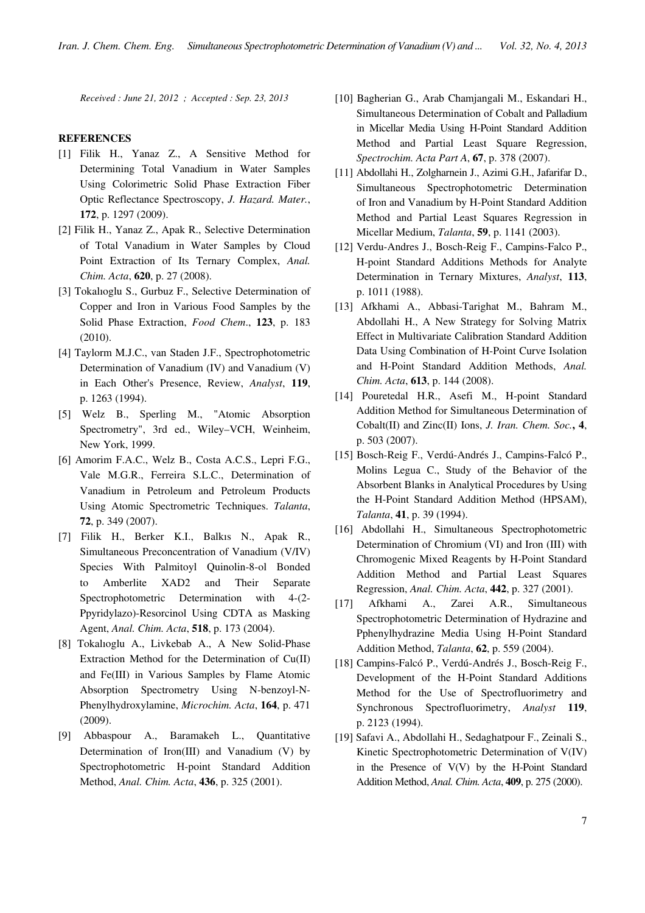Received : June 21, 2012 ; Accepted : Sep. 23, 2013

# **REFERENCES**

- [1] Filik H., Yanaz Z., A Sensitive Method for Determining Total Vanadium in Water Samples Using Colorimetric Solid Phase Extraction Fiber Optic Reflectance Spectroscopy, J. Hazard. Mater., 172, p. 1297 (2009).
- [2] Filik H., Yanaz Z., Apak R., Selective Determination of Total Vanadium in Water Samples by Cloud Point Extraction of Its Ternary Complex, Anal. Chim. Acta, 620, p. 27 (2008).
- [3] Tokalioglu S., Gurbuz F., Selective Determination of Copper and Iron in Various Food Samples by the Solid Phase Extraction, Food Chem., 123, p. 183 (2010).
- [4] Taylorm M.J.C., van Staden J.F., Spectrophotometric Determination of Vanadium (IV) and Vanadium (V) in Each Other's Presence, Review, Analyst, 119, p. 1263 (1994).
- [5] Welz B., Sperling M., "Atomic Absorption Spectrometry", 3rd ed., Wiley–VCH, Weinheim, New York, 1999.
- [6] Amorim F.A.C., Welz B., Costa A.C.S., Lepri F.G., Vale M.G.R., Ferreira S.L.C., Determination of Vanadium in Petroleum and Petroleum Products Using Atomic Spectrometric Techniques. Talanta, 72, p. 349 (2007).
- [7] Filik H., Berker K.I., Balkıs N., Apak R., Simultaneous Preconcentration of Vanadium (V/IV) Species With Palmitoyl Quinolin-8-ol Bonded to Amberlite XAD2 and Their Separate Spectrophotometric Determination with 4-(2- Ppyridylazo)-Resorcinol Using CDTA as Masking Agent, Anal. Chim. Acta, 518, p. 173 (2004).
- [8] Tokalıoglu A., Livkebab A., A New Solid-Phase Extraction Method for the Determination of Cu(II) and Fe(III) in Various Samples by Flame Atomic Absorption Spectrometry Using N-benzoyl-N-Phenylhydroxylamine, Microchim. Acta, 164, p. 471 (2009).
- [9] Abbaspour A., Baramakeh L., Quantitative Determination of Iron(III) and Vanadium (V) by Spectrophotometric H-point Standard Addition Method, Anal. Chim. Acta, 436, p. 325 (2001).
- [10] Bagherian G., Arab Chamjangali M., Eskandari H., Simultaneous Determination of Cobalt and Palladium in Micellar Media Using H-Point Standard Addition Method and Partial Least Square Regression, Spectrochim. Acta Part A, 67, p. 378 (2007).
- [11] Abdollahi H., Zolgharnein J., Azimi G.H., Jafarifar D., Simultaneous Spectrophotometric Determination of Iron and Vanadium by H-Point Standard Addition Method and Partial Least Squares Regression in Micellar Medium, Talanta, 59, p. 1141 (2003).
- [12] Verdu-Andres J., Bosch-Reig F., Campins-Falco P., H-point Standard Additions Methods for Analyte Determination in Ternary Mixtures, Analyst, 113, p. 1011 (1988).
- [13] Afkhami A., Abbasi-Tarighat M., Bahram M., Abdollahi H., A New Strategy for Solving Matrix Effect in Multivariate Calibration Standard Addition Data Using Combination of H-Point Curve Isolation and H-Point Standard Addition Methods, Anal. Chim. Acta, 613, p. 144 (2008).
- [14] Pouretedal H.R., Asefi M., H-point Standard Addition Method for Simultaneous Determination of Cobalt(II) and Zinc(II) Ions, *J. Iran. Chem. Soc.*, 4, p. 503 (2007).
- [15] Bosch-Reig F., Verdú-Andrés J., Campins-Falcó P., Molins Legua C., Study of the Behavior of the Absorbent Blanks in Analytical Procedures by Using the H-Point Standard Addition Method (HPSAM), Talanta, 41, p. 39 (1994).
- [16] Abdollahi H., Simultaneous Spectrophotometric Determination of Chromium (VI) and Iron (III) with Chromogenic Mixed Reagents by H-Point Standard Addition Method and Partial Least Squares Regression, Anal. Chim. Acta, 442, p. 327 (2001).
- [17] Afkhami A., Zarei A.R., Simultaneous Spectrophotometric Determination of Hydrazine and Pphenylhydrazine Media Using H-Point Standard Addition Method, Talanta, 62, p. 559 (2004).
- [18] Campins-Falcó P., Verdú-Andrés J., Bosch-Reig F., Development of the H-Point Standard Additions Method for the Use of Spectrofluorimetry and Synchronous Spectrofluorimetry, Analyst 119, p. 2123 (1994).
- [19] Safavi A., Abdollahi H., Sedaghatpour F., Zeinali S., Kinetic Spectrophotometric Determination of V(IV) in the Presence of V(V) by the H-Point Standard Addition Method, Anal. Chim. Acta, 409, p. 275 (2000).